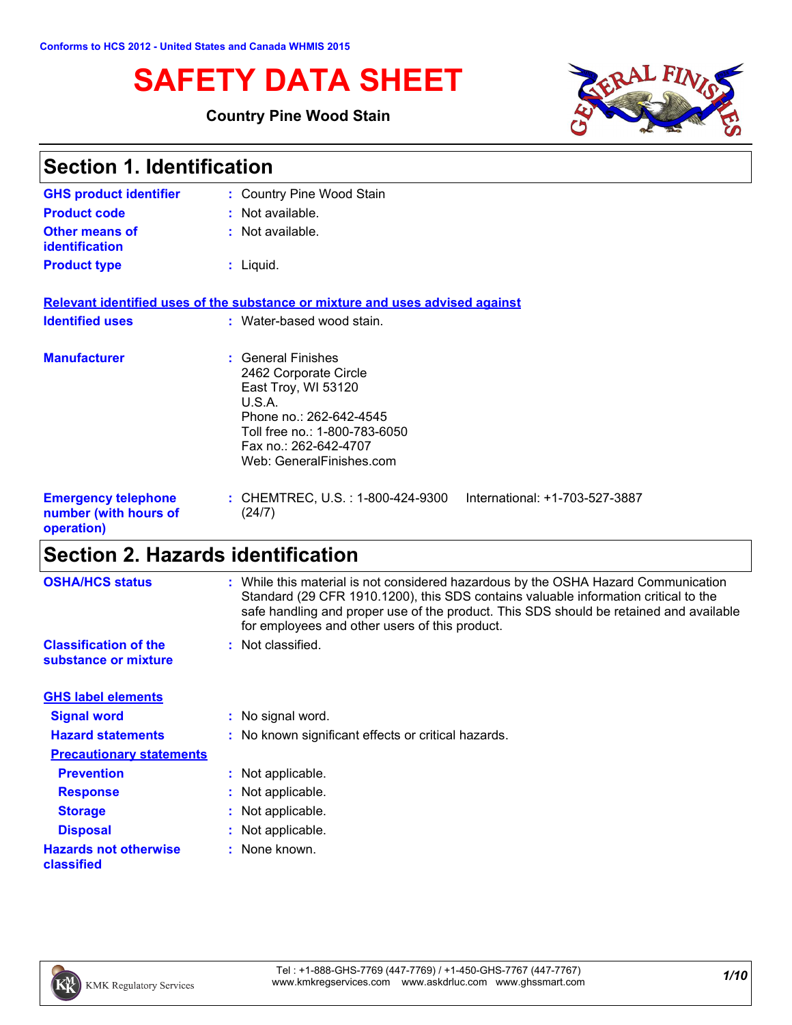# **SAFETY DATA SHEET**

### **Country Pine Wood Stain**



| <b>Section 1. Identification</b>                                  |                                                                                                                                                                                               |  |
|-------------------------------------------------------------------|-----------------------------------------------------------------------------------------------------------------------------------------------------------------------------------------------|--|
| <b>GHS product identifier</b>                                     | : Country Pine Wood Stain                                                                                                                                                                     |  |
| <b>Product code</b>                                               | $:$ Not available.                                                                                                                                                                            |  |
| <b>Other means of</b><br><b>identification</b>                    | : Not available.                                                                                                                                                                              |  |
| <b>Product type</b>                                               | $:$ Liquid.                                                                                                                                                                                   |  |
|                                                                   | Relevant identified uses of the substance or mixture and uses advised against                                                                                                                 |  |
| <b>Identified uses</b>                                            | : Water-based wood stain.                                                                                                                                                                     |  |
| <b>Manufacturer</b>                                               | : General Finishes<br>2462 Corporate Circle<br>East Troy, WI 53120<br>U.S.A.<br>Phone no.: 262-642-4545<br>Toll free no.: 1-800-783-6050<br>Fax no.: 262-642-4707<br>Web: GeneralFinishes.com |  |
| <b>Emergency telephone</b><br>number (with hours of<br>operation) | : CHEMTREC, U.S. : 1-800-424-9300<br>International: +1-703-527-3887<br>(24/7)                                                                                                                 |  |

# **Section 2. Hazards identification**

| <b>OSHA/HCS status</b>                               | : While this material is not considered hazardous by the OSHA Hazard Communication<br>Standard (29 CFR 1910.1200), this SDS contains valuable information critical to the<br>safe handling and proper use of the product. This SDS should be retained and available<br>for employees and other users of this product. |
|------------------------------------------------------|-----------------------------------------------------------------------------------------------------------------------------------------------------------------------------------------------------------------------------------------------------------------------------------------------------------------------|
| <b>Classification of the</b><br>substance or mixture | : Not classified.                                                                                                                                                                                                                                                                                                     |
| <b>GHS label elements</b>                            |                                                                                                                                                                                                                                                                                                                       |
| <b>Signal word</b>                                   | : No signal word.                                                                                                                                                                                                                                                                                                     |
| <b>Hazard statements</b>                             | : No known significant effects or critical hazards.                                                                                                                                                                                                                                                                   |
| <b>Precautionary statements</b>                      |                                                                                                                                                                                                                                                                                                                       |
| <b>Prevention</b>                                    | : Not applicable.                                                                                                                                                                                                                                                                                                     |
| <b>Response</b>                                      | : Not applicable.                                                                                                                                                                                                                                                                                                     |
| <b>Storage</b>                                       | : Not applicable.                                                                                                                                                                                                                                                                                                     |
| <b>Disposal</b>                                      | : Not applicable.                                                                                                                                                                                                                                                                                                     |
| <b>Hazards not otherwise</b><br>classified           | : None known.                                                                                                                                                                                                                                                                                                         |

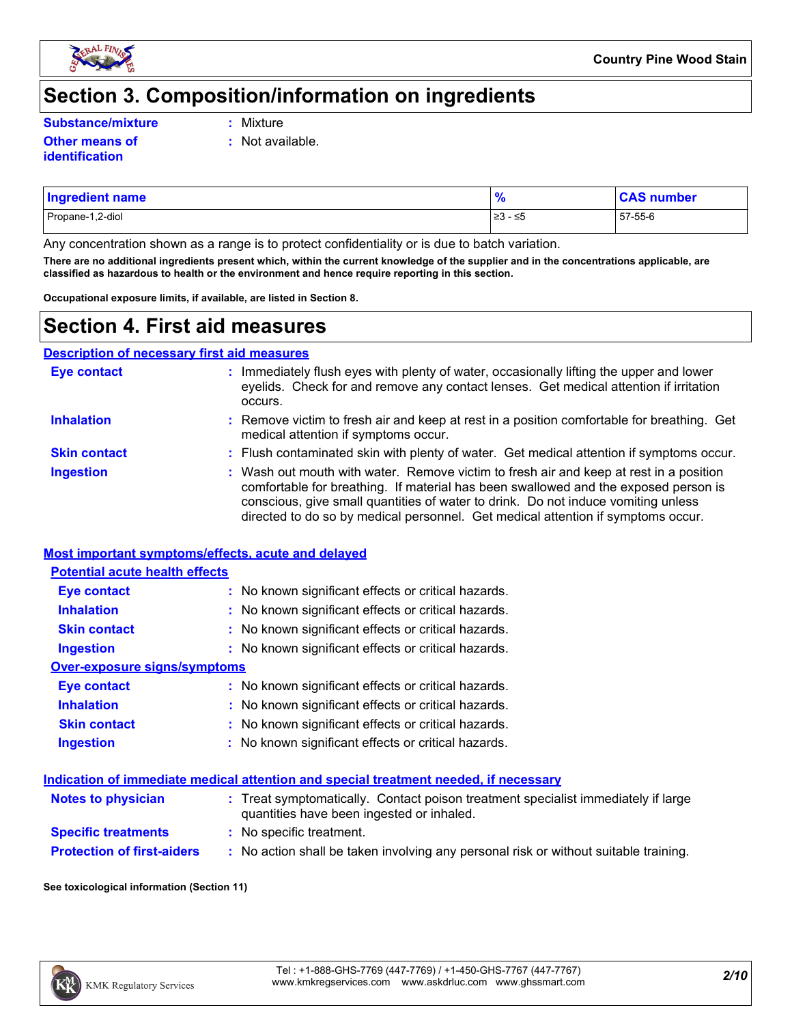

### **Section 3. Composition/information on ingredients**

**Substance/mixture :**

Mixture

**:** Not available.

**Other means of identification**

| <b>Ingredient name</b> | $\mathbf{0}_L$ | , number |
|------------------------|----------------|----------|
| Propane-1,2-diol       | ≥3 - ≤5        | 57-55-6  |

Any concentration shown as a range is to protect confidentiality or is due to batch variation.

**There are no additional ingredients present which, within the current knowledge of the supplier and in the concentrations applicable, are classified as hazardous to health or the environment and hence require reporting in this section.**

**Occupational exposure limits, if available, are listed in Section 8.**

### **Section 4. First aid measures**

**Description of necessary first aid measures**

| <b>Eye contact</b>  | : Immediately flush eyes with plenty of water, occasionally lifting the upper and lower<br>eyelids. Check for and remove any contact lenses. Get medical attention if irritation<br>occurs.                                                                                                                                                            |
|---------------------|--------------------------------------------------------------------------------------------------------------------------------------------------------------------------------------------------------------------------------------------------------------------------------------------------------------------------------------------------------|
| <b>Inhalation</b>   | : Remove victim to fresh air and keep at rest in a position comfortable for breathing. Get<br>medical attention if symptoms occur.                                                                                                                                                                                                                     |
| <b>Skin contact</b> | : Flush contaminated skin with plenty of water. Get medical attention if symptoms occur.                                                                                                                                                                                                                                                               |
| <b>Ingestion</b>    | : Wash out mouth with water. Remove victim to fresh air and keep at rest in a position<br>comfortable for breathing. If material has been swallowed and the exposed person is<br>conscious, give small quantities of water to drink. Do not induce vomiting unless<br>directed to do so by medical personnel. Get medical attention if symptoms occur. |

#### **Most important symptoms/effects, acute and delayed**

| <b>Potential acute health effects</b> |                                                     |
|---------------------------------------|-----------------------------------------------------|
| <b>Eye contact</b>                    | : No known significant effects or critical hazards. |
| <b>Inhalation</b>                     | : No known significant effects or critical hazards. |
| <b>Skin contact</b>                   | : No known significant effects or critical hazards. |
| <b>Ingestion</b>                      | : No known significant effects or critical hazards. |
| Over-exposure signs/symptoms          |                                                     |
| <b>Eye contact</b>                    | : No known significant effects or critical hazards. |
| <b>Inhalation</b>                     | : No known significant effects or critical hazards. |
| <b>Skin contact</b>                   | : No known significant effects or critical hazards. |
| <b>Ingestion</b>                      | : No known significant effects or critical hazards. |

#### **Indication of immediate medical attention and special treatment needed, if necessary**

| <b>Notes to physician</b>         | : Treat symptomatically. Contact poison treatment specialist immediately if large<br>quantities have been ingested or inhaled. |
|-----------------------------------|--------------------------------------------------------------------------------------------------------------------------------|
| <b>Specific treatments</b>        | : No specific treatment.                                                                                                       |
| <b>Protection of first-aiders</b> | No action shall be taken involving any personal risk or without suitable training.                                             |

#### **See toxicological information (Section 11)**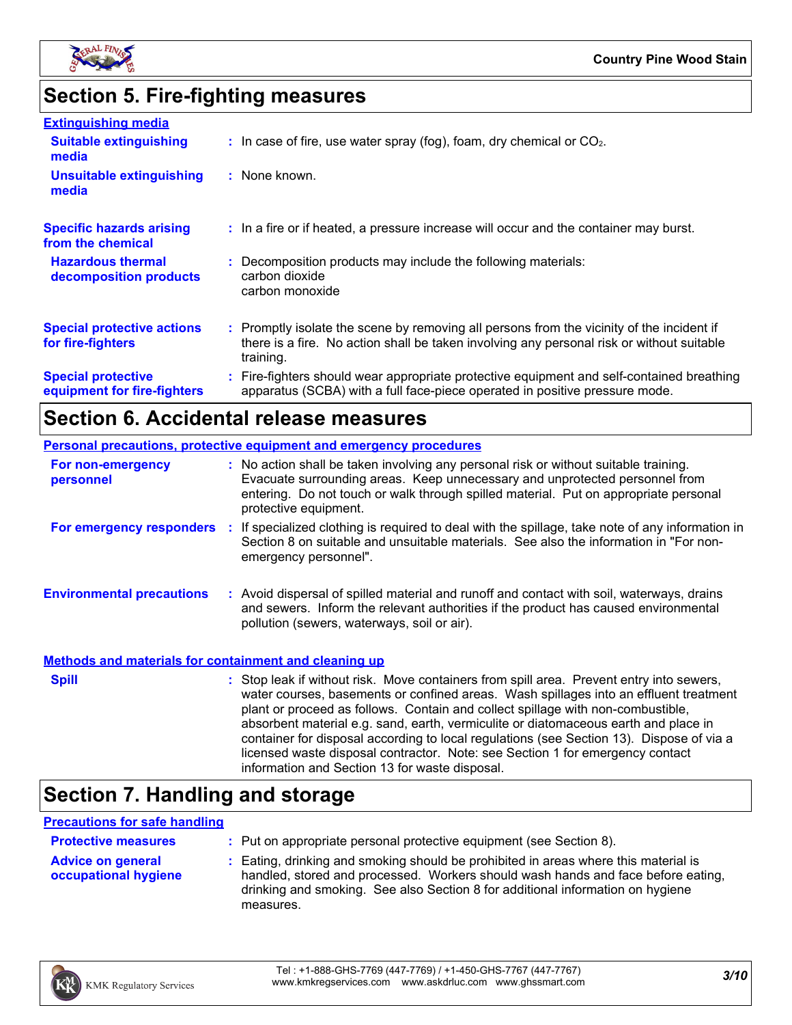

# **Section 5. Fire-fighting measures**

| <b>Extinguishing media</b>                               |                                                                                                                                                                                                     |
|----------------------------------------------------------|-----------------------------------------------------------------------------------------------------------------------------------------------------------------------------------------------------|
| <b>Suitable extinguishing</b><br>media                   | $\therefore$ In case of fire, use water spray (fog), foam, dry chemical or CO <sub>2</sub> .                                                                                                        |
| <b>Unsuitable extinguishing</b><br>media                 | : None known.                                                                                                                                                                                       |
| <b>Specific hazards arising</b><br>from the chemical     | : In a fire or if heated, a pressure increase will occur and the container may burst.                                                                                                               |
| <b>Hazardous thermal</b><br>decomposition products       | : Decomposition products may include the following materials:<br>carbon dioxide<br>carbon monoxide                                                                                                  |
| <b>Special protective actions</b><br>for fire-fighters   | : Promptly isolate the scene by removing all persons from the vicinity of the incident if<br>there is a fire. No action shall be taken involving any personal risk or without suitable<br>training. |
| <b>Special protective</b><br>equipment for fire-fighters | : Fire-fighters should wear appropriate protective equipment and self-contained breathing<br>apparatus (SCBA) with a full face-piece operated in positive pressure mode.                            |

# **Section 6. Accidental release measures**

| <b>Personal precautions, protective equipment and emergency procedures</b> |                                                                                                                                                                                                                                                                                                                                                                                                                                                                                                                                                                                            |  |  |
|----------------------------------------------------------------------------|--------------------------------------------------------------------------------------------------------------------------------------------------------------------------------------------------------------------------------------------------------------------------------------------------------------------------------------------------------------------------------------------------------------------------------------------------------------------------------------------------------------------------------------------------------------------------------------------|--|--|
| For non-emergency<br>personnel                                             | : No action shall be taken involving any personal risk or without suitable training.<br>Evacuate surrounding areas. Keep unnecessary and unprotected personnel from<br>entering. Do not touch or walk through spilled material. Put on appropriate personal<br>protective equipment.                                                                                                                                                                                                                                                                                                       |  |  |
| <b>For emergency responders :</b>                                          | If specialized clothing is required to deal with the spillage, take note of any information in<br>Section 8 on suitable and unsuitable materials. See also the information in "For non-<br>emergency personnel".                                                                                                                                                                                                                                                                                                                                                                           |  |  |
| <b>Environmental precautions</b>                                           | : Avoid dispersal of spilled material and runoff and contact with soil, waterways, drains<br>and sewers. Inform the relevant authorities if the product has caused environmental<br>pollution (sewers, waterways, soil or air).                                                                                                                                                                                                                                                                                                                                                            |  |  |
| <b>Methods and materials for containment and cleaning up</b>               |                                                                                                                                                                                                                                                                                                                                                                                                                                                                                                                                                                                            |  |  |
| <b>Spill</b>                                                               | : Stop leak if without risk. Move containers from spill area. Prevent entry into sewers,<br>water courses, basements or confined areas. Wash spillages into an effluent treatment<br>plant or proceed as follows. Contain and collect spillage with non-combustible,<br>absorbent material e.g. sand, earth, vermiculite or diatomaceous earth and place in<br>container for disposal according to local regulations (see Section 13). Dispose of via a<br>licensed waste disposal contractor. Note: see Section 1 for emergency contact<br>information and Section 13 for waste disposal. |  |  |

## **Section 7. Handling and storage**

#### **Precautions for safe handling**

| <b>Protective measures</b>                       | : Put on appropriate personal protective equipment (see Section 8).                                                                                                                                                                                                    |
|--------------------------------------------------|------------------------------------------------------------------------------------------------------------------------------------------------------------------------------------------------------------------------------------------------------------------------|
| <b>Advice on general</b><br>occupational hygiene | : Eating, drinking and smoking should be prohibited in areas where this material is<br>handled, stored and processed. Workers should wash hands and face before eating,<br>drinking and smoking. See also Section 8 for additional information on hygiene<br>measures. |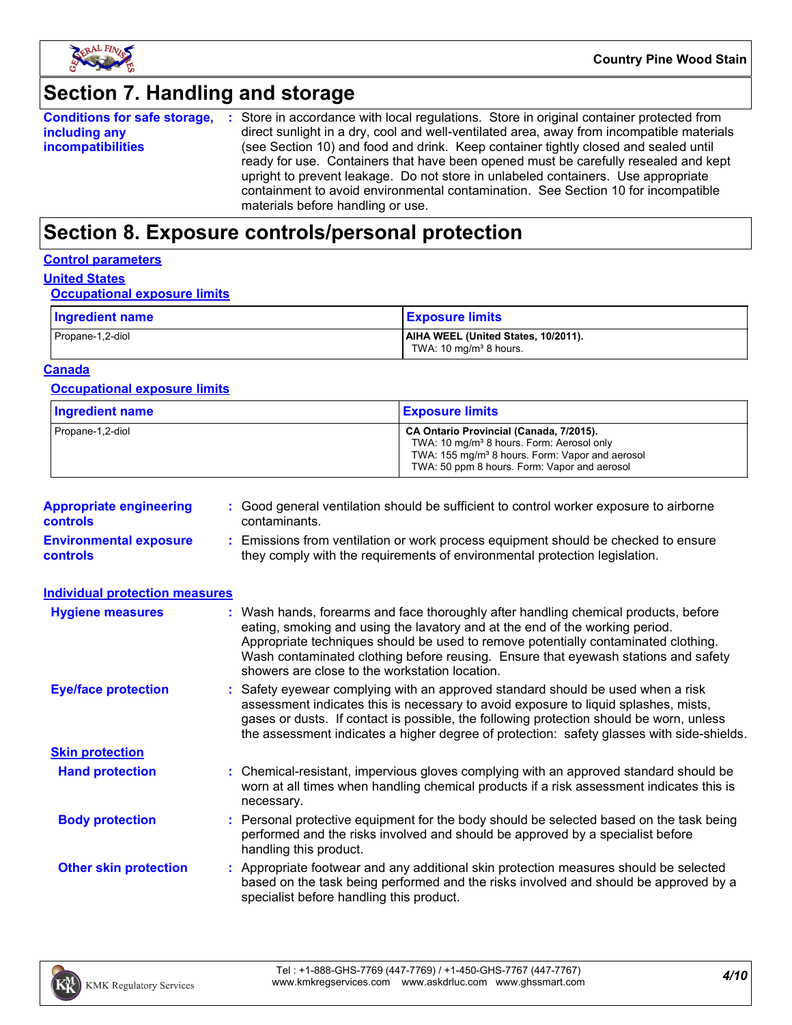

### **Section 7. Handling and storage**

|                                                                                                                 | <b>Conditions for safe storage, :</b> Store in accordance with local regulations. Store in original container protected from |  |
|-----------------------------------------------------------------------------------------------------------------|------------------------------------------------------------------------------------------------------------------------------|--|
| including any                                                                                                   | direct sunlight in a dry, cool and well-ventilated area, away from incompatible materials                                    |  |
| (see Section 10) and food and drink. Keep container tightly closed and sealed until<br><i>incompatibilities</i> |                                                                                                                              |  |
|                                                                                                                 | ready for use. Containers that have been opened must be carefully resealed and kept                                          |  |
|                                                                                                                 | upright to prevent leakage. Do not store in unlabeled containers. Use appropriate                                            |  |
|                                                                                                                 | containment to avoid environmental contamination. See Section 10 for incompatible                                            |  |
|                                                                                                                 | materials before handling or use.                                                                                            |  |

### **Section 8. Exposure controls/personal protection**

#### **Control parameters**

### **United States**

#### **Occupational exposure limits**

| Ingredient name  | <b>Exposure limits</b>                                                    |
|------------------|---------------------------------------------------------------------------|
| Propane-1,2-diol | AIHA WEEL (United States, 10/2011).<br>TWA: 10 mg/m <sup>3</sup> 8 hours. |

#### **Canada**

#### **Occupational exposure limits**

| <b>Ingredient name</b> | <b>Exposure limits</b>                                                                                                                                                                                          |
|------------------------|-----------------------------------------------------------------------------------------------------------------------------------------------------------------------------------------------------------------|
| Propane-1,2-diol       | CA Ontario Provincial (Canada, 7/2015).<br>TWA: 10 mg/m <sup>3</sup> 8 hours. Form: Aerosol only<br>TWA: 155 mg/m <sup>3</sup> 8 hours. Form: Vapor and aerosol<br>TWA: 50 ppm 8 hours. Form: Vapor and aerosol |

| <b>Appropriate engineering</b><br><b>controls</b> | : Good general ventilation should be sufficient to control worker exposure to airborne<br>contaminants.                                                          |
|---------------------------------------------------|------------------------------------------------------------------------------------------------------------------------------------------------------------------|
| <b>Environmental exposure</b><br><b>controls</b>  | : Emissions from ventilation or work process equipment should be checked to ensure<br>they comply with the requirements of environmental protection legislation. |

| <b>Individual protection measures</b> |                                                                                                                                                                                                                                                                                                                                                                                                   |
|---------------------------------------|---------------------------------------------------------------------------------------------------------------------------------------------------------------------------------------------------------------------------------------------------------------------------------------------------------------------------------------------------------------------------------------------------|
| <b>Hygiene measures</b>               | : Wash hands, forearms and face thoroughly after handling chemical products, before<br>eating, smoking and using the lavatory and at the end of the working period.<br>Appropriate techniques should be used to remove potentially contaminated clothing.<br>Wash contaminated clothing before reusing. Ensure that eyewash stations and safety<br>showers are close to the workstation location. |
| <b>Eye/face protection</b>            | : Safety eyewear complying with an approved standard should be used when a risk<br>assessment indicates this is necessary to avoid exposure to liquid splashes, mists,<br>gases or dusts. If contact is possible, the following protection should be worn, unless<br>the assessment indicates a higher degree of protection: safety glasses with side-shields.                                    |
| <b>Skin protection</b>                |                                                                                                                                                                                                                                                                                                                                                                                                   |
| <b>Hand protection</b>                | : Chemical-resistant, impervious gloves complying with an approved standard should be<br>worn at all times when handling chemical products if a risk assessment indicates this is<br>necessary.                                                                                                                                                                                                   |
| <b>Body protection</b>                | : Personal protective equipment for the body should be selected based on the task being<br>performed and the risks involved and should be approved by a specialist before<br>handling this product.                                                                                                                                                                                               |
| <b>Other skin protection</b>          | : Appropriate footwear and any additional skin protection measures should be selected<br>based on the task being performed and the risks involved and should be approved by a<br>specialist before handling this product.                                                                                                                                                                         |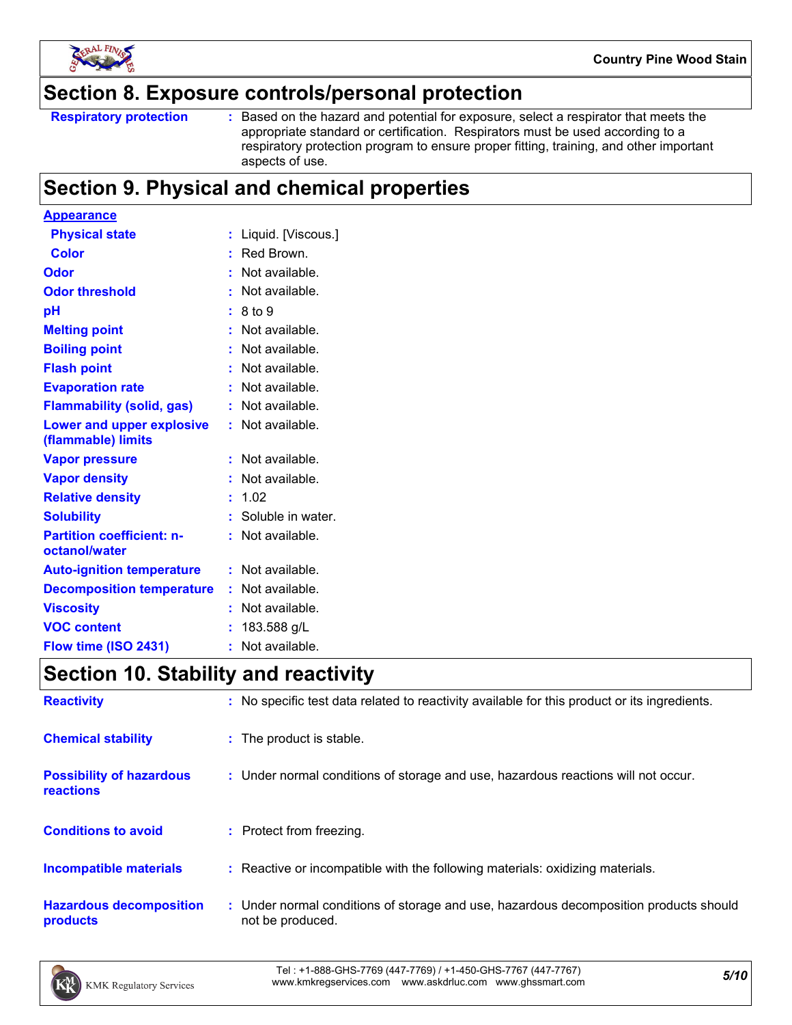

### **Section 8. Exposure controls/personal protection**

Based on the hazard and potential for exposure, select a respirator that meets the appropriate standard or certification. Respirators must be used according to a respiratory protection program to ensure proper fitting, training, and other important aspects of use.

### **Section 9. Physical and chemical properties**

| <b>Appearance</b>                                 |    |                     |
|---------------------------------------------------|----|---------------------|
| <b>Physical state</b>                             |    | Liquid. [Viscous.]  |
| <b>Color</b>                                      |    | Red Brown.          |
| Odor                                              |    | Not available.      |
| <b>Odor threshold</b>                             |    | Not available.      |
| рH                                                |    | 8 to 9              |
| <b>Melting point</b>                              |    | Not available.      |
| <b>Boiling point</b>                              |    | Not available.      |
| <b>Flash point</b>                                |    | Not available.      |
| <b>Evaporation rate</b>                           |    | Not available.      |
| <b>Flammability (solid, gas)</b>                  |    | Not available.      |
| Lower and upper explosive<br>(flammable) limits   |    | Not available.      |
| <b>Vapor pressure</b>                             |    | Not available.      |
| <b>Vapor density</b>                              |    | Not available.      |
| <b>Relative density</b>                           |    | 1.02                |
| <b>Solubility</b>                                 |    | : Soluble in water. |
| <b>Partition coefficient: n-</b><br>octanol/water |    | Not available.      |
| <b>Auto-ignition temperature</b>                  |    | Not available.      |
| <b>Decomposition temperature</b>                  |    | Not available.      |
| <b>Viscosity</b>                                  |    | Not available.      |
| <b>VOC content</b>                                |    | 183.588 g/L         |
| Flow time (ISO 2431)                              | ř. | Not available.      |

### **Section 10. Stability and reactivity**

| <b>Reactivity</b>                            | : No specific test data related to reactivity available for this product or its ingredients.              |
|----------------------------------------------|-----------------------------------------------------------------------------------------------------------|
| <b>Chemical stability</b>                    | : The product is stable.                                                                                  |
| <b>Possibility of hazardous</b><br>reactions | : Under normal conditions of storage and use, hazardous reactions will not occur.                         |
| <b>Conditions to avoid</b>                   | : Protect from freezing.                                                                                  |
| <b>Incompatible materials</b>                | : Reactive or incompatible with the following materials: oxidizing materials.                             |
| <b>Hazardous decomposition</b><br>products   | : Under normal conditions of storage and use, hazardous decomposition products should<br>not be produced. |

*5/10* Tel : +1-888-GHS-7769 (447-7769) / +1-450-GHS-7767 (447-7767) www.kmkregservices.com www.askdrluc.com www.ghssmart.com

**Respiratory protection :**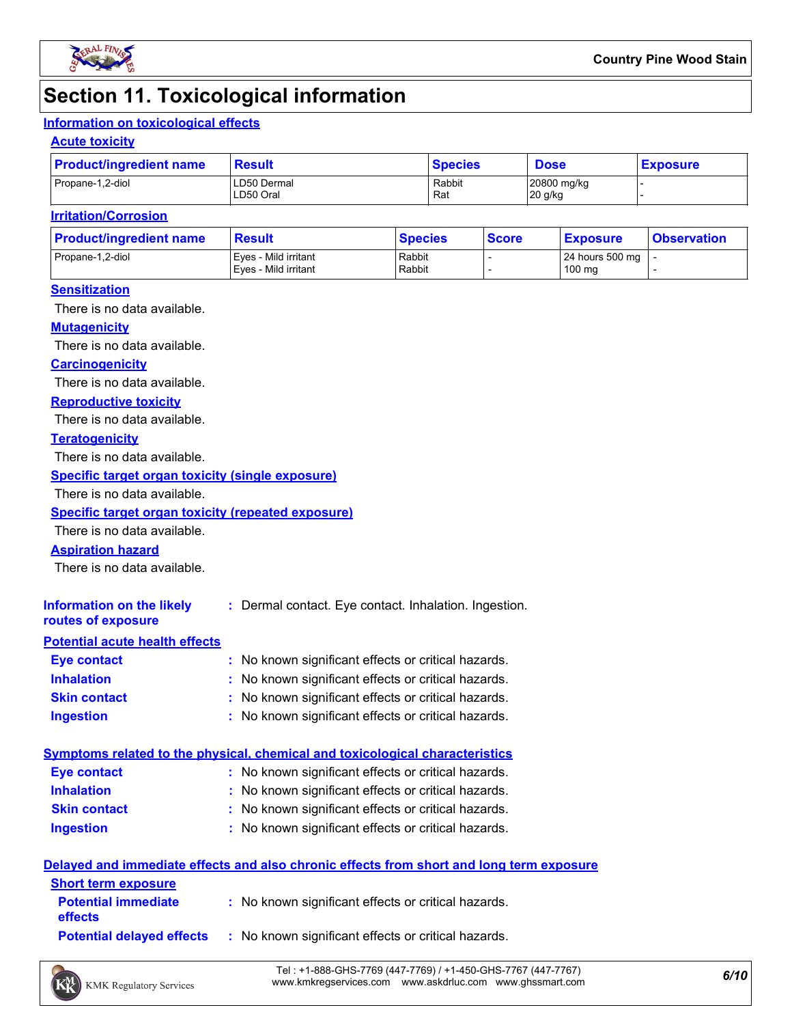

## **Section 11. Toxicological information**

#### **Information on toxicological effects**

#### **Acute toxicity**

| <b>Product/ingredient name</b> | <b>Result</b>            | <b>Species</b> | <b>Dose</b>            | <b>Exposure</b> |  |
|--------------------------------|--------------------------|----------------|------------------------|-----------------|--|
| Propane-1,2-diol               | LD50 Dermal<br>LD50 Oral | Rabbit<br>Rat  | 20800 mg/kg<br>20 g/kg |                 |  |

#### **Irritation/Corrosion**

| <b>Product/ingredient name</b> | <b>Result</b>        | <b>Species</b> | <b>Score</b> | <b>Exposure</b>     | <b>Observation</b> |
|--------------------------------|----------------------|----------------|--------------|---------------------|--------------------|
| Propane-1,2-diol               | Eves - Mild irritant | Rabbit         |              | 24 hours 500 mg   - |                    |
|                                | Eves - Mild irritant | Rabbit         |              | 100 mg              |                    |

#### **Sensitization**

There is no data available.

#### **Mutagenicity**

There is no data available.

#### **Carcinogenicity**

There is no data available.

#### **Reproductive toxicity**

There is no data available.

#### **Teratogenicity**

There is no data available.

#### **Specific target organ toxicity (single exposure)**

There is no data available.

#### **Specific target organ toxicity (repeated exposure)**

There is no data available.

#### **Aspiration hazard**

There is no data available.

| Information on the likely<br>routes of exposure | : Dermal contact. Eye contact. Inhalation. Ingestion. |
|-------------------------------------------------|-------------------------------------------------------|
| <b>Potential acute health effects</b>           |                                                       |
| Eye contact                                     | : No known significant effects or critical hazards.   |
| <b>Inhalation</b>                               | : No known significant effects or critical hazards.   |
| <b>Skin contact</b>                             | : No known significant effects or critical hazards.   |

#### **Ingestion :** No known significant effects or critical hazards.

| Symptoms related to the physical, chemical and toxicological characteristics |                                                     |  |  |  |  |
|------------------------------------------------------------------------------|-----------------------------------------------------|--|--|--|--|
| <b>Eve contact</b>                                                           | : No known significant effects or critical hazards. |  |  |  |  |
| <b>Inhalation</b>                                                            | : No known significant effects or critical hazards. |  |  |  |  |
| <b>Skin contact</b>                                                          | : No known significant effects or critical hazards. |  |  |  |  |
| <b>Ingestion</b>                                                             | : No known significant effects or critical hazards. |  |  |  |  |

#### **Delayed and immediate effects and also chronic effects from short and long term exposure**

| <b>Short term exposure</b>                   |                                                     |
|----------------------------------------------|-----------------------------------------------------|
| <b>Potential immediate</b><br><b>effects</b> | : No known significant effects or critical hazards. |
| <b>Potential delaved effects</b>             | : No known significant effects or critical hazards. |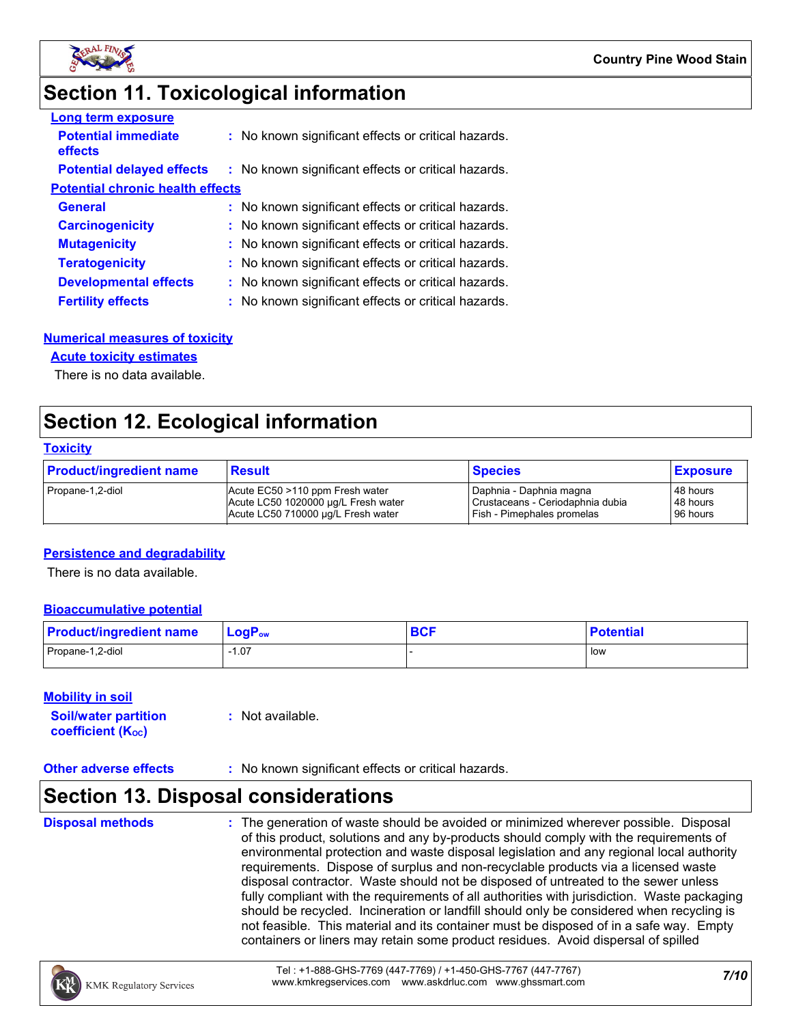

### **Section 11. Toxicological information**

| <b>Long term exposure</b>                    |                                                     |
|----------------------------------------------|-----------------------------------------------------|
| <b>Potential immediate</b><br><b>effects</b> | : No known significant effects or critical hazards. |
| <b>Potential delayed effects</b>             | : No known significant effects or critical hazards. |
| <b>Potential chronic health effects</b>      |                                                     |
| <b>General</b>                               | : No known significant effects or critical hazards. |
| <b>Carcinogenicity</b>                       | : No known significant effects or critical hazards. |
| <b>Mutagenicity</b>                          | : No known significant effects or critical hazards. |
| <b>Teratogenicity</b>                        | : No known significant effects or critical hazards. |
| <b>Developmental effects</b>                 | : No known significant effects or critical hazards. |
| <b>Fertility effects</b>                     | : No known significant effects or critical hazards. |

#### **Numerical measures of toxicity**

#### **Acute toxicity estimates**

There is no data available.

### **Section 12. Ecological information**

#### **Toxicity**

| <b>Product/ingredient name</b> | <b>Result</b>                       | <b>Species</b>                   | <b>Exposure</b> |
|--------------------------------|-------------------------------------|----------------------------------|-----------------|
| Propane-1,2-diol               | Acute EC50 >110 ppm Fresh water     | I Daphnia - Daphnia magna        | 48 hours        |
|                                | Acute LC50 1020000 ug/L Fresh water | Crustaceans - Ceriodaphnia dubia | 48 hours        |
|                                | Acute LC50 710000 ug/L Fresh water  | Fish - Pimephales promelas       | 96 hours        |

#### **Persistence and degradability**

There is no data available.

#### **Bioaccumulative potential**

| <b>Product/ingredient name</b> | $LogPow$ | <b>DAC</b><br><b>DUI</b> | <b>Potential</b> |
|--------------------------------|----------|--------------------------|------------------|
| Propane-1,2-diol               | 07، ا    |                          | l low            |

#### **Mobility in soil**

| <b>Soil/water partition</b>    | $:$ Not available. |
|--------------------------------|--------------------|
| coefficient (K <sub>oc</sub> ) |                    |

#### **Other adverse effects** : No known significant effects or critical hazards.

### **Section 13. Disposal considerations**

**Disposal methods :**

The generation of waste should be avoided or minimized wherever possible. Disposal of this product, solutions and any by-products should comply with the requirements of environmental protection and waste disposal legislation and any regional local authority requirements. Dispose of surplus and non-recyclable products via a licensed waste disposal contractor. Waste should not be disposed of untreated to the sewer unless fully compliant with the requirements of all authorities with jurisdiction. Waste packaging should be recycled. Incineration or landfill should only be considered when recycling is not feasible. This material and its container must be disposed of in a safe way. Empty containers or liners may retain some product residues. Avoid dispersal of spilled

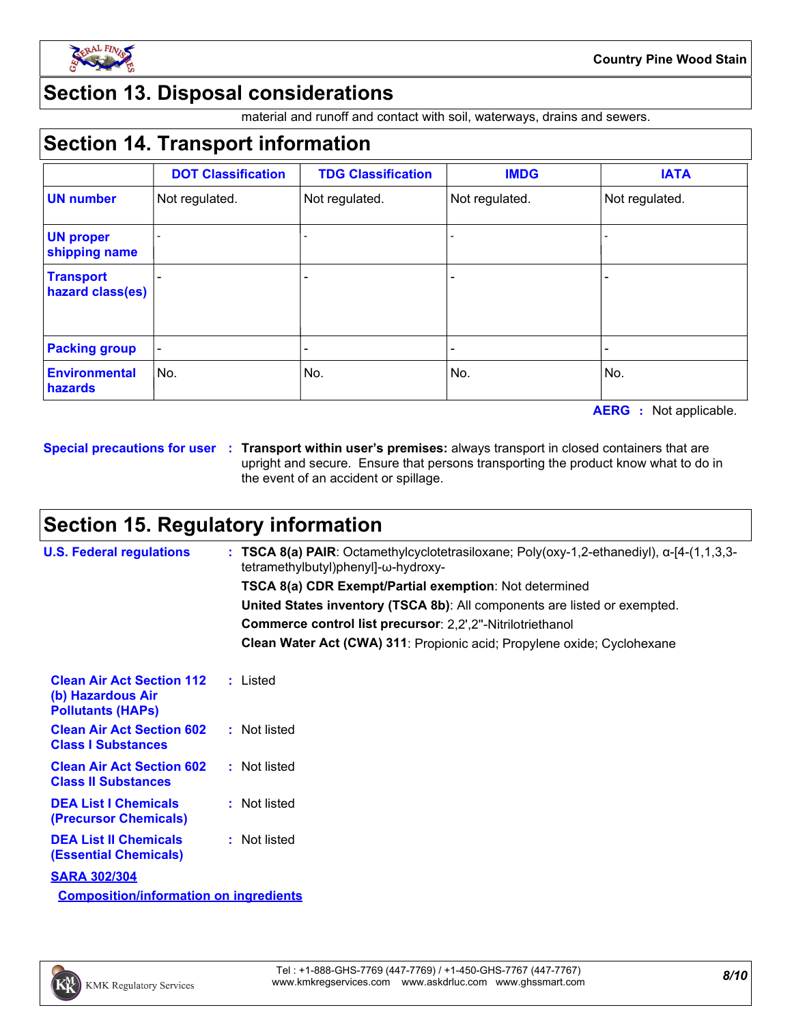

### **Section 13. Disposal considerations**

material and runoff and contact with soil, waterways, drains and sewers.

### **Section 14. Transport information**

|                                      | <b>DOT Classification</b> | <b>TDG Classification</b> | <b>IMDG</b>    | <b>IATA</b>    |
|--------------------------------------|---------------------------|---------------------------|----------------|----------------|
| <b>UN number</b>                     | Not regulated.            | Not regulated.            | Not regulated. | Not regulated. |
| <b>UN proper</b><br>shipping name    |                           |                           |                |                |
| <b>Transport</b><br>hazard class(es) |                           |                           |                |                |
|                                      |                           |                           |                |                |
| <b>Packing group</b>                 |                           |                           |                |                |
| <b>Environmental</b><br>hazards      | No.                       | No.                       | No.            | No.            |

**AERG :** Not applicable.

**Special precautions for user Transport within user's premises:** always transport in closed containers that are **:** upright and secure. Ensure that persons transporting the product know what to do in the event of an accident or spillage.

### **Section 15. Regulatory information**

| <b>U.S. Federal regulations</b>                                                   | : TSCA 8(a) PAIR: Octamethylcyclotetrasiloxane; Poly(oxy-1,2-ethanediyl), $\alpha$ -[4-(1,1,3,3-<br>tetramethylbutyl)phenyl]-ω-hydroxy- |
|-----------------------------------------------------------------------------------|-----------------------------------------------------------------------------------------------------------------------------------------|
|                                                                                   | <b>TSCA 8(a) CDR Exempt/Partial exemption: Not determined</b>                                                                           |
|                                                                                   | United States inventory (TSCA 8b): All components are listed or exempted.                                                               |
|                                                                                   | Commerce control list precursor: 2,2',2"-Nitrilotriethanol                                                                              |
|                                                                                   | Clean Water Act (CWA) 311: Propionic acid; Propylene oxide; Cyclohexane                                                                 |
| <b>Clean Air Act Section 112</b><br>(b) Hazardous Air<br><b>Pollutants (HAPS)</b> | : Listed                                                                                                                                |
| <b>Clean Air Act Section 602</b><br><b>Class I Substances</b>                     | : Not listed                                                                                                                            |
| <b>Clean Air Act Section 602</b><br><b>Class II Substances</b>                    | : Not listed                                                                                                                            |
| <b>DEA List I Chemicals</b><br>(Precursor Chemicals)                              | : Not listed                                                                                                                            |
| <b>DEA List II Chemicals</b><br><b>(Essential Chemicals)</b>                      | : Not listed                                                                                                                            |
| <b>SARA 302/304</b>                                                               |                                                                                                                                         |

**Composition/information on ingredients**

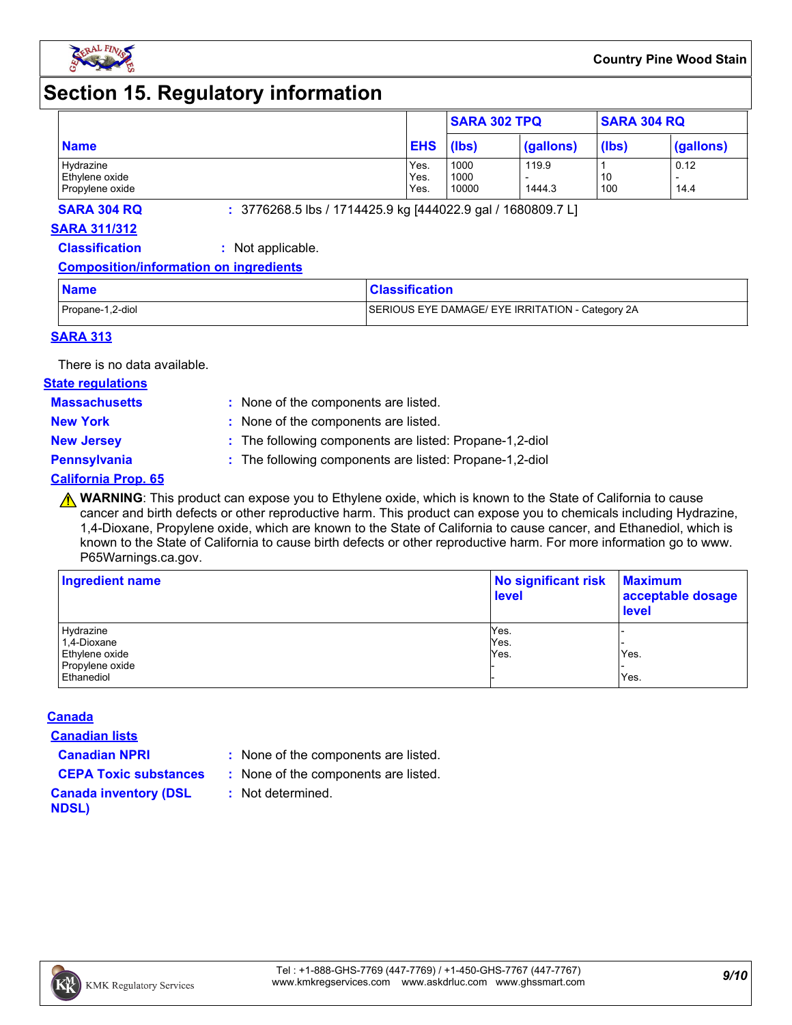

### **Section 15. Regulatory information**

|                             |              | <b>SARA 302 TPQ</b> |           | <b>SARA 304 RQ</b> |           |
|-----------------------------|--------------|---------------------|-----------|--------------------|-----------|
| <b>Name</b>                 | <b>EHS</b>   | (lbs)               | (gallons) | (lbs)              | (gallons) |
| Hydrazine<br>Ethylene oxide | Yes.<br>Yes. | 1000<br>1000        | 119.9     | 10                 | 0.12      |
| Propylene oxide             | Yes.         | 10000               | 1444.3    | 100                | 14.4      |

**SARA 304 RQ :** 3776268.5 lbs / 1714425.9 kg [444022.9 gal / 1680809.7 L]

#### **SARA 311/312**

**Classification :** Not applicable.

#### **Composition/information on ingredients**

| <b>Name</b>      | <b>Classification</b>                            |
|------------------|--------------------------------------------------|
| Propane-1,2-diol | SERIOUS EYE DAMAGE/ EYE IRRITATION - Category 2A |

#### **SARA 313**

There is no data available.

#### **State regulations**

**Massachusetts :**

- : None of the components are listed. **New York :** None of the components are listed.
- 
- **New Jersey :** The following components are listed: Propane-1,2-diol

**Pennsylvania :** The following components are listed: Propane-1,2-diol

#### **California Prop. 65**

**A WARNING**: This product can expose you to Ethylene oxide, which is known to the State of California to cause cancer and birth defects or other reproductive harm. This product can expose you to chemicals including Hydrazine, 1,4-Dioxane, Propylene oxide, which are known to the State of California to cause cancer, and Ethanediol, which is known to the State of California to cause birth defects or other reproductive harm. For more information go to www. P65Warnings.ca.gov.

| Ingredient name | No significant risk<br><b>level</b> | <b>Maximum</b><br>acceptable dosage<br><b>level</b> |  |
|-----------------|-------------------------------------|-----------------------------------------------------|--|
| Hydrazine       | Yes.                                |                                                     |  |
| 1,4-Dioxane     | Yes.                                |                                                     |  |
| Ethylene oxide  | Yes.                                | Yes.                                                |  |
| Propylene oxide |                                     |                                                     |  |
| Ethanediol      |                                     | Yes.                                                |  |

#### **Canada**

**Canadian lists**

- **Canadian NPRI :** None of the components are listed.
- **CEPA Toxic substances :** None of the components are listed.
	- **:** Not determined.
- **Canada inventory (DSL NDSL)**